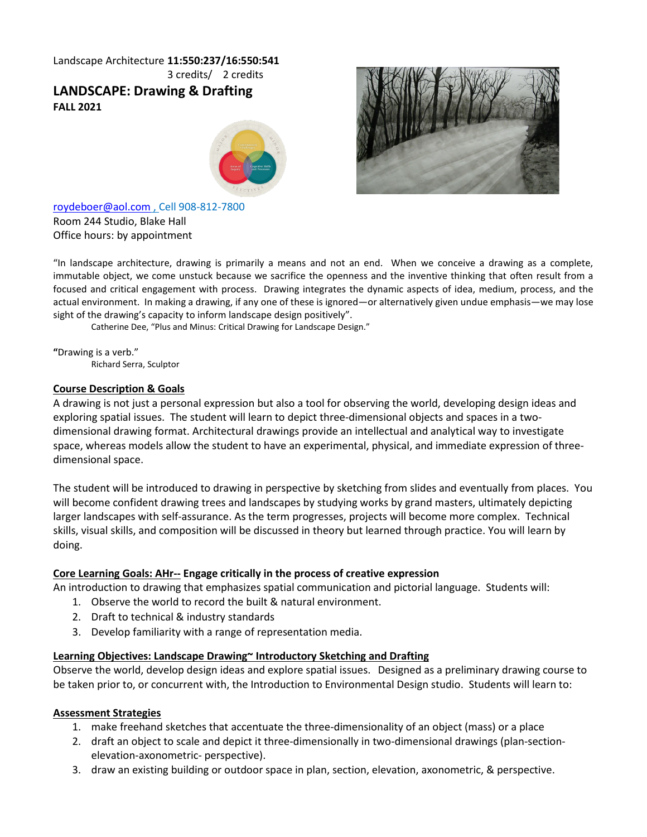# Landscape Architecture **11:550:237/16:550:541** 3 credits/ 2 credits **LANDSCAPE: Drawing & Drafting FALL 2021**





[roydeboer@aol.com](mailto:roydeboer@aol.com) , Cell 908-812-7800 Room 244 Studio, Blake Hall Office hours: by appointment

"In landscape architecture, drawing is primarily a means and not an end. When we conceive a drawing as a complete, immutable object, we come unstuck because we sacrifice the openness and the inventive thinking that often result from a focused and critical engagement with process. Drawing integrates the dynamic aspects of idea, medium, process, and the actual environment. In making a drawing, if any one of these is ignored—or alternatively given undue emphasis—we may lose sight of the drawing's capacity to inform landscape design positively".

Catherine Dee, "Plus and Minus: Critical Drawing for Landscape Design."

**"**Drawing is a verb." Richard Serra, Sculptor

## **Course Description & Goals**

A drawing is not just a personal expression but also a tool for observing the world, developing design ideas and exploring spatial issues. The student will learn to depict three-dimensional objects and spaces in a twodimensional drawing format. Architectural drawings provide an intellectual and analytical way to investigate space, whereas models allow the student to have an experimental, physical, and immediate expression of threedimensional space.

The student will be introduced to drawing in perspective by sketching from slides and eventually from places. You will become confident drawing trees and landscapes by studying works by grand masters, ultimately depicting larger landscapes with self-assurance. As the term progresses, projects will become more complex. Technical skills, visual skills, and composition will be discussed in theory but learned through practice. You will learn by doing.

# **Core Learning Goals: AHr-- Engage critically in the process of creative expression**

An introduction to drawing that emphasizes spatial communication and pictorial language. Students will:

- 1. Observe the world to record the built & natural environment.
- 2. Draft to technical & industry standards
- 3. Develop familiarity with a range of representation media.

## **Learning Objectives: Landscape Drawing~ Introductory Sketching and Drafting**

Observe the world, develop design ideas and explore spatial issues. Designed as a preliminary drawing course to be taken prior to, or concurrent with, the Introduction to Environmental Design studio. Students will learn to:

## **Assessment Strategies**

- 1. make freehand sketches that accentuate the three-dimensionality of an object (mass) or a place
- 2. draft an object to scale and depict it three-dimensionally in two-dimensional drawings (plan-sectionelevation-axonometric- perspective).
- 3. draw an existing building or outdoor space in plan, section, elevation, axonometric, & perspective.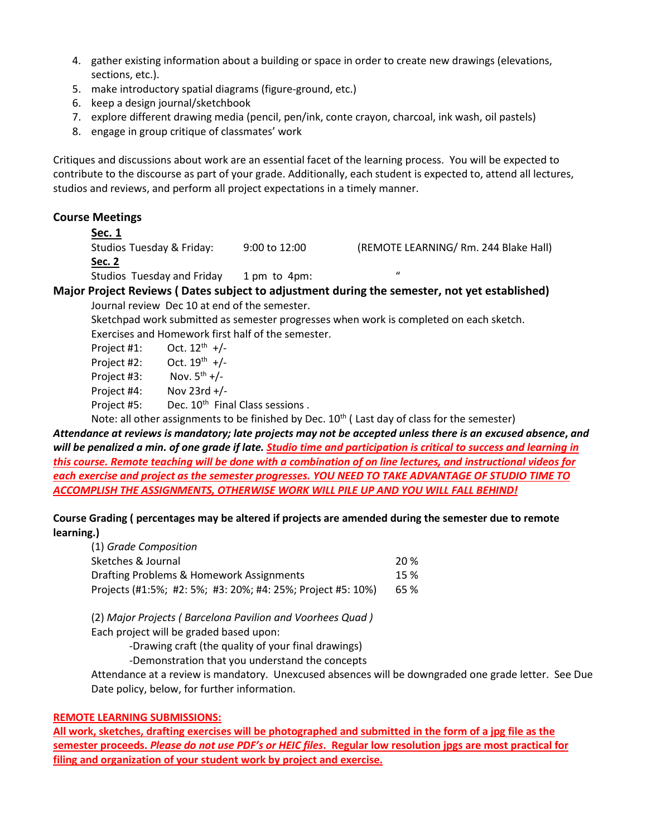- 4. gather existing information about a building or space in order to create new drawings (elevations, sections, etc.).
- 5. make introductory spatial diagrams (figure-ground, etc.)
- 6. keep a design journal/sketchbook
- 7. explore different drawing media (pencil, pen/ink, conte crayon, charcoal, ink wash, oil pastels)
- 8. engage in group critique of classmates' work

Critiques and discussions about work are an essential facet of the learning process. You will be expected to contribute to the discourse as part of your grade. Additionally, each student is expected to, attend all lectures, studios and reviews, and perform all project expectations in a timely manner.

# **Course Meetings**

# **Sec. 1**

Studios Tuesday & Friday: 9:00 to 12:00 (REMOTE LEARNING/ Rm. 244 Blake Hall) **Sec. 2** 

Studios Tuesday and Friday 1 pm to 4pm:

# **Major Project Reviews ( Dates subject to adjustment during the semester, not yet established)** Journal review Dec 10 at end of the semester.

Sketchpad work submitted as semester progresses when work is completed on each sketch. Exercises and Homework first half of the semester.

| Project #1: | Oct. $12^{th}$ +/-                          |
|-------------|---------------------------------------------|
| Project #2: | Oct. $19^{th}$ +/-                          |
| Project #3: | Nov. $5^{th}$ +/-                           |
| Project #4: | Nov 23rd $+/-$                              |
| Project #5: | Dec. 10 <sup>th</sup> Final Class sessions. |
|             |                                             |

Note: all other assignments to be finished by Dec.  $10^{th}$  (Last day of class for the semester)

*Attendance at reviews is mandatory; late projects may not be accepted unless there is an excused absence***,** *and will be penalized a min. of one grade if late. Studio time and participation is critical to success and learning in this course. Remote teaching will be done with a combination of on line lectures, and instructional videos for each exercise and project as the semester progresses. YOU NEED TO TAKE ADVANTAGE OF STUDIO TIME TO ACCOMPLISH THE ASSIGNMENTS, OTHERWISE WORK WILL PILE UP AND YOU WILL FALL BEHIND!*

# **Course Grading ( percentages may be altered if projects are amended during the semester due to remote learning.)**

| (1) Grade Composition                                       |      |
|-------------------------------------------------------------|------|
| Sketches & Journal                                          | 20 % |
| Drafting Problems & Homework Assignments                    |      |
| Projects (#1:5%; #2: 5%; #3: 20%; #4: 25%; Project #5: 10%) | 65 % |

(2) *Major Projects ( Barcelona Pavilion and Voorhees Quad )* Each project will be graded based upon:

-Drawing craft (the quality of your final drawings)

-Demonstration that you understand the concepts

Attendance at a review is mandatory. Unexcused absences will be downgraded one grade letter. See Due Date policy, below, for further information.

# **REMOTE LEARNING SUBMISSIONS:**

**All work, sketches, drafting exercises will be photographed and submitted in the form of a jpg file as the semester proceeds.** *Please do not use PDF's or HEIC files***. Regular low resolution jpgs are most practical for filing and organization of your student work by project and exercise.**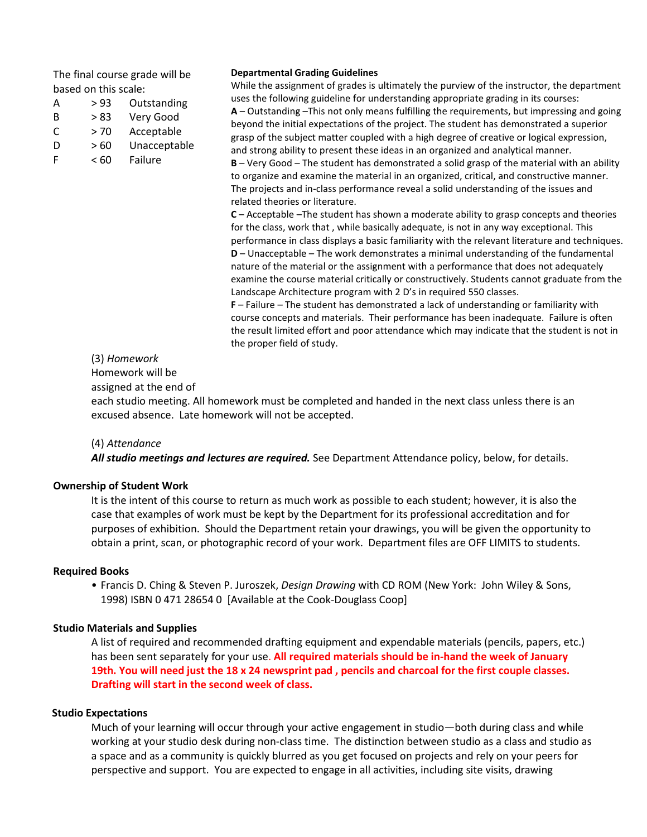The final course grade will be based on this scale:

| A | > 93 | Outstanding |
|---|------|-------------|
| B | > 83 | Very Good   |
| C | > 70 | Acceptable  |

- D > 60 Unacceptable
- F < 60 Failure

#### **Departmental Grading Guidelines**

While the assignment of grades is ultimately the purview of the instructor, the department uses the following guideline for understanding appropriate grading in its courses: **A** – Outstanding –This not only means fulfilling the requirements, but impressing and going beyond the initial expectations of the project. The student has demonstrated a superior grasp of the subject matter coupled with a high degree of creative or logical expression, and strong ability to present these ideas in an organized and analytical manner. **B** – Very Good – The student has demonstrated a solid grasp of the material with an ability to organize and examine the material in an organized, critical, and constructive manner. The projects and in-class performance reveal a solid understanding of the issues and related theories or literature. **C** – Acceptable –The student has shown a moderate ability to grasp concepts and theories for the class, work that , while basically adequate, is not in any way exceptional. This performance in class displays a basic familiarity with the relevant literature and techniques. **D** – Unacceptable – The work demonstrates a minimal understanding of the fundamental nature of the material or the assignment with a performance that does not adequately examine the course material critically or constructively. Students cannot graduate from the Landscape Architecture program with 2 D's in required 550 classes. **F** – Failure – The student has demonstrated a lack of understanding or familiarity with

course concepts and materials. Their performance has been inadequate. Failure is often the result limited effort and poor attendance which may indicate that the student is not in the proper field of study.

## (3) *Homework*

Homework will be

assigned at the end of

each studio meeting. All homework must be completed and handed in the next class unless there is an excused absence. Late homework will not be accepted.

(4) *Attendance*

*All studio meetings and lectures are required.* See Department Attendance policy, below, for details.

# **Ownership of Student Work**

It is the intent of this course to return as much work as possible to each student; however, it is also the case that examples of work must be kept by the Department for its professional accreditation and for purposes of exhibition. Should the Department retain your drawings, you will be given the opportunity to obtain a print, scan, or photographic record of your work. Department files are OFF LIMITS to students.

## **Required Books**

• Francis D. Ching & Steven P. Juroszek, *Design Drawing* with CD ROM (New York: John Wiley & Sons, 1998) ISBN 0 471 28654 0 [Available at the Cook-Douglass Coop]

## **Studio Materials and Supplies**

A list of required and recommended drafting equipment and expendable materials (pencils, papers, etc.) has been sent separately for your use. **All required materials should be in-hand the week of January 19th. You will need just the 18 x 24 newsprint pad , pencils and charcoal for the first couple classes. Drafting will start in the second week of class.** 

## **Studio Expectations**

Much of your learning will occur through your active engagement in studio—both during class and while working at your studio desk during non-class time. The distinction between studio as a class and studio as a space and as a community is quickly blurred as you get focused on projects and rely on your peers for perspective and support. You are expected to engage in all activities, including site visits, drawing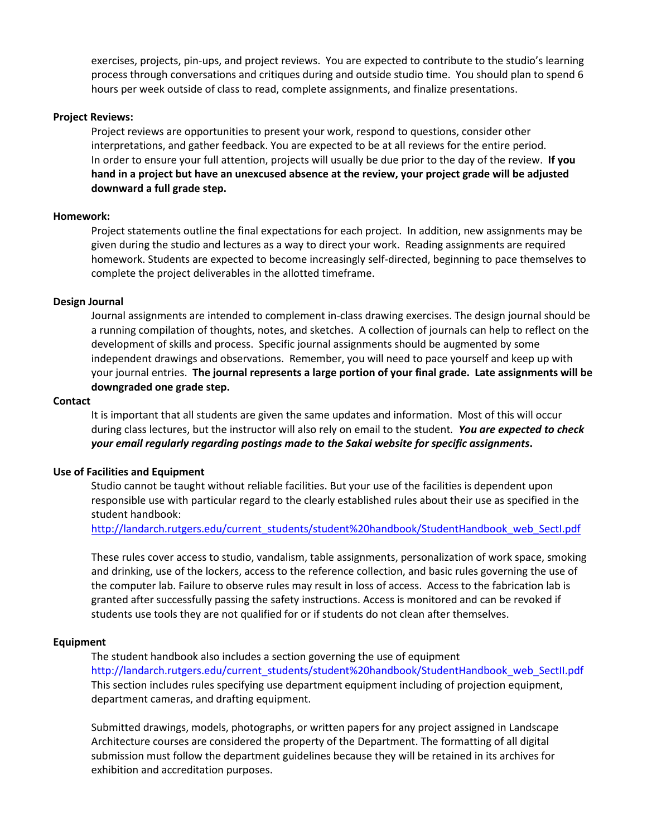exercises, projects, pin-ups, and project reviews. You are expected to contribute to the studio's learning process through conversations and critiques during and outside studio time. You should plan to spend 6 hours per week outside of class to read, complete assignments, and finalize presentations.

### **Project Reviews:**

Project reviews are opportunities to present your work, respond to questions, consider other interpretations, and gather feedback. You are expected to be at all reviews for the entire period. In order to ensure your full attention, projects will usually be due prior to the day of the review. **If you hand in a project but have an unexcused absence at the review, your project grade will be adjusted downward a full grade step.**

### **Homework:**

Project statements outline the final expectations for each project. In addition, new assignments may be given during the studio and lectures as a way to direct your work. Reading assignments are required homework. Students are expected to become increasingly self-directed, beginning to pace themselves to complete the project deliverables in the allotted timeframe.

### **Design Journal**

Journal assignments are intended to complement in-class drawing exercises. The design journal should be a running compilation of thoughts, notes, and sketches. A collection of journals can help to reflect on the development of skills and process. Specific journal assignments should be augmented by some independent drawings and observations. Remember, you will need to pace yourself and keep up with your journal entries. **The journal represents a large portion of your final grade. Late assignments will be downgraded one grade step.**

#### **Contact**

It is important that all students are given the same updates and information. Most of this will occur during class lectures, but the instructor will also rely on email to the student*. You are expected to check your email regularly regarding postings made to the Sakai website for specific assignments***.**

### **Use of Facilities and Equipment**

Studio cannot be taught without reliable facilities. But your use of the facilities is dependent upon responsible use with particular regard to the clearly established rules about their use as specified in the student handbook:

[http://landarch.rutgers.edu/current\\_students/student%20handbook/StudentHandbook\\_web\\_SectI.pdf](http://landarch.rutgers.edu/current_students/student%20handbook/StudentHandbook_web_SectI.pdf)

These rules cover access to studio, vandalism, table assignments, personalization of work space, smoking and drinking, use of the lockers, access to the reference collection, and basic rules governing the use of the computer lab. Failure to observe rules may result in loss of access. Access to the fabrication lab is granted after successfully passing the safety instructions. Access is monitored and can be revoked if students use tools they are not qualified for or if students do not clean after themselves.

#### **Equipment**

The student handbook also includes a section governing the use of equipment http://landarch.rutgers.edu/current\_students/student%20handbook/StudentHandbook\_web\_SectII.pdf This section includes rules specifying use department equipment including of projection equipment, department cameras, and drafting equipment.

Submitted drawings, models, photographs, or written papers for any project assigned in Landscape Architecture courses are considered the property of the Department. The formatting of all digital submission must follow the department guidelines because they will be retained in its archives for exhibition and accreditation purposes.